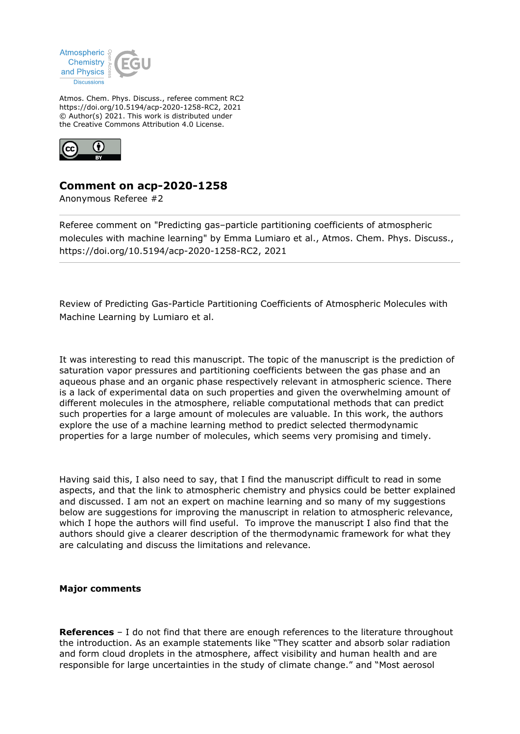

Atmos. Chem. Phys. Discuss., referee comment RC2 https://doi.org/10.5194/acp-2020-1258-RC2, 2021 © Author(s) 2021. This work is distributed under the Creative Commons Attribution 4.0 License.



# **Comment on acp-2020-1258**

Anonymous Referee #2

Referee comment on "Predicting gas–particle partitioning coefficients of atmospheric molecules with machine learning" by Emma Lumiaro et al., Atmos. Chem. Phys. Discuss., https://doi.org/10.5194/acp-2020-1258-RC2, 2021

Review of Predicting Gas-Particle Partitioning Coefficients of Atmospheric Molecules with Machine Learning by Lumiaro et al.

It was interesting to read this manuscript. The topic of the manuscript is the prediction of saturation vapor pressures and partitioning coefficients between the gas phase and an aqueous phase and an organic phase respectively relevant in atmospheric science. There is a lack of experimental data on such properties and given the overwhelming amount of different molecules in the atmosphere, reliable computational methods that can predict such properties for a large amount of molecules are valuable. In this work, the authors explore the use of a machine learning method to predict selected thermodynamic properties for a large number of molecules, which seems very promising and timely.

Having said this, I also need to say, that I find the manuscript difficult to read in some aspects, and that the link to atmospheric chemistry and physics could be better explained and discussed. I am not an expert on machine learning and so many of my suggestions below are suggestions for improving the manuscript in relation to atmospheric relevance, which I hope the authors will find useful. To improve the manuscript I also find that the authors should give a clearer description of the thermodynamic framework for what they are calculating and discuss the limitations and relevance.

#### **Major comments**

**References** – I do not find that there are enough references to the literature throughout the introduction. As an example statements like "They scatter and absorb solar radiation and form cloud droplets in the atmosphere, affect visibility and human health and are responsible for large uncertainties in the study of climate change." and "Most aerosol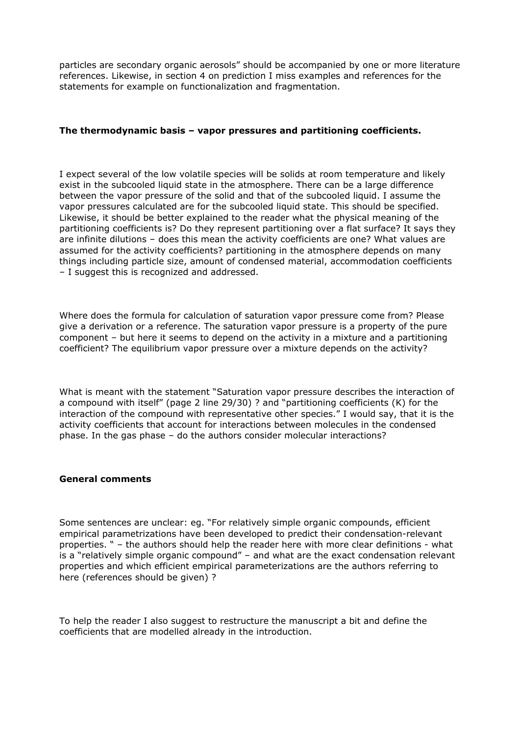particles are secondary organic aerosols" should be accompanied by one or more literature references. Likewise, in section 4 on prediction I miss examples and references for the statements for example on functionalization and fragmentation.

## **The thermodynamic basis – vapor pressures and partitioning coefficients.**

I expect several of the low volatile species will be solids at room temperature and likely exist in the subcooled liquid state in the atmosphere. There can be a large difference between the vapor pressure of the solid and that of the subcooled liquid. I assume the vapor pressures calculated are for the subcooled liquid state. This should be specified. Likewise, it should be better explained to the reader what the physical meaning of the partitioning coefficients is? Do they represent partitioning over a flat surface? It says they are infinite dilutions – does this mean the activity coefficients are one? What values are assumed for the activity coefficients? partitioning in the atmosphere depends on many things including particle size, amount of condensed material, accommodation coefficients – I suggest this is recognized and addressed.

Where does the formula for calculation of saturation vapor pressure come from? Please give a derivation or a reference. The saturation vapor pressure is a property of the pure component – but here it seems to depend on the activity in a mixture and a partitioning coefficient? The equilibrium vapor pressure over a mixture depends on the activity?

What is meant with the statement "Saturation vapor pressure describes the interaction of a compound with itself" (page 2 line 29/30) ? and "partitioning coefficients (K) for the interaction of the compound with representative other species." I would say, that it is the activity coefficients that account for interactions between molecules in the condensed phase. In the gas phase – do the authors consider molecular interactions?

#### **General comments**

Some sentences are unclear: eg. "For relatively simple organic compounds, efficient empirical parametrizations have been developed to predict their condensation-relevant properties. " – the authors should help the reader here with more clear definitions - what is a "relatively simple organic compound" – and what are the exact condensation relevant properties and which efficient empirical parameterizations are the authors referring to here (references should be given) ?

To help the reader I also suggest to restructure the manuscript a bit and define the coefficients that are modelled already in the introduction.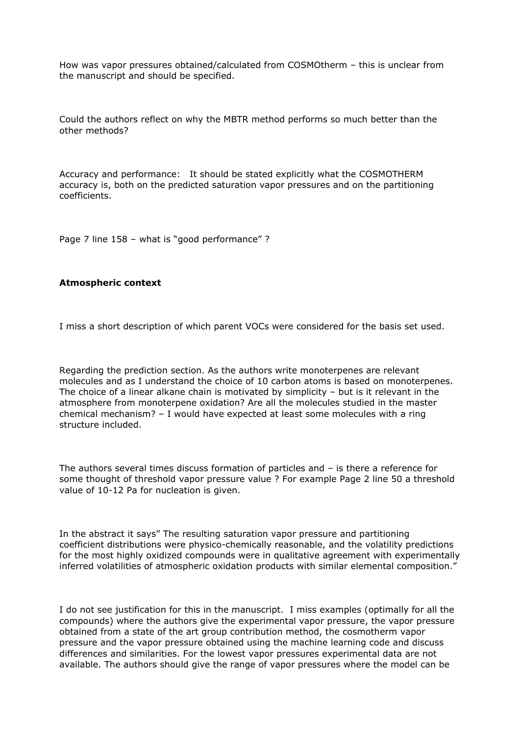How was vapor pressures obtained/calculated from COSMOtherm – this is unclear from the manuscript and should be specified.

Could the authors reflect on why the MBTR method performs so much better than the other methods?

Accuracy and performance: It should be stated explicitly what the COSMOTHERM accuracy is, both on the predicted saturation vapor pressures and on the partitioning coefficients.

Page 7 line 158 – what is "good performance" ?

#### **Atmospheric context**

I miss a short description of which parent VOCs were considered for the basis set used.

Regarding the prediction section. As the authors write monoterpenes are relevant molecules and as I understand the choice of 10 carbon atoms is based on monoterpenes. The choice of a linear alkane chain is motivated by simplicity – but is it relevant in the atmosphere from monoterpene oxidation? Are all the molecules studied in the master chemical mechanism? – I would have expected at least some molecules with a ring structure included.

The authors several times discuss formation of particles and – is there a reference for some thought of threshold vapor pressure value ? For example Page 2 line 50 a threshold value of 10-12 Pa for nucleation is given.

In the abstract it says" The resulting saturation vapor pressure and partitioning coefficient distributions were physico-chemically reasonable, and the volatility predictions for the most highly oxidized compounds were in qualitative agreement with experimentally inferred volatilities of atmospheric oxidation products with similar elemental composition."

I do not see justification for this in the manuscript. I miss examples (optimally for all the compounds) where the authors give the experimental vapor pressure, the vapor pressure obtained from a state of the art group contribution method, the cosmotherm vapor pressure and the vapor pressure obtained using the machine learning code and discuss differences and similarities. For the lowest vapor pressures experimental data are not available. The authors should give the range of vapor pressures where the model can be